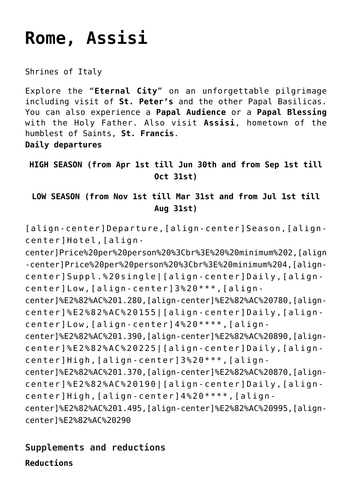# **[Rome, Assisi](https://rusconiviaggi.com/tour-item/private-pilgrimage-to-rome-and-assisi-5-days/)**

Shrines of Italy

Explore the "**Eternal City**" on an unforgettable pilgrimage including visit of **St. Peter's** and the other Papal Basilicas. You can also experience a **Papal Audience** or a **Papal Blessing** with the Holy Father. Also visit **Assisi**, hometown of the humblest of Saints, **St. Francis**.

**Daily departures**

**HIGH SEASON (from Apr 1st till Jun 30th and from Sep 1st till Oct 31st)**

**LOW SEASON (from Nov 1st till Mar 31st and from Jul 1st till Aug 31st)**

[align-center]Departure,[align-center]Season,[aligncenter]Hotel,[align-

center]Price%20per%20person%20%3Cbr%3E%20%20minimum%202,[align -center]Price%20per%20person%20%3Cbr%3E%20minimum%204,[aligncenter]Suppl.%20single|[align-center]Daily,[aligncenter]Low,[align-center]3%20\*\*\*,[aligncenter]%E2%82%AC%201.280,[align-center]%E2%82%AC%20780,[aligncenter]%E2%82%AC%20155|[align-center]Daily,[aligncenter]Low,[align-center]4%20\*\*\*\*,[aligncenter]%E2%82%AC%201.390,[align-center]%E2%82%AC%20890,[aligncenter]%E2%82%AC%20225|[align-center]Daily,[aligncenter]High,[align-center]3%20\*\*\*,[aligncenter]%E2%82%AC%201.370,[align-center]%E2%82%AC%20870,[aligncenter]%E2%82%AC%20190|[align-center]Daily,[aligncenter]High,[align-center]4%20\*\*\*\*,[aligncenter]%E2%82%AC%201.495,[align-center]%E2%82%AC%20995,[aligncenter]%E2%82%AC%20290

## **Supplements and reductions**

**Reductions**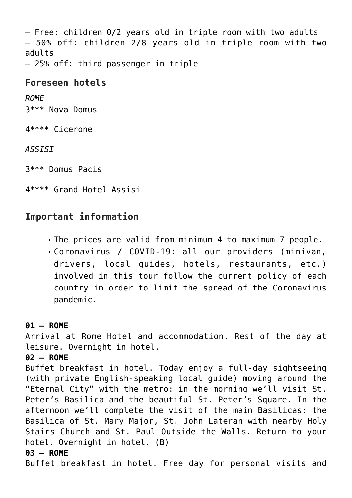– Free: children 0/2 years old in triple room with two adults – 50% off: children 2/8 years old in triple room with two adults

– 25% off: third passenger in triple

#### **Foreseen hotels**

*ROME* 3\*\*\* Nova Domus

4\*\*\*\* Cicerone

*ASSISI*

3\*\*\* Domus Pacis

4\*\*\*\* Grand Hotel Assisi

### **Important information**

- The prices are valid from minimum 4 to maximum 7 people.
- Coronavirus / COVID-19: all our providers (minivan, drivers, local guides, hotels, restaurants, etc.) involved in this tour follow the current policy of each country in order to limit the spread of the Coronavirus pandemic.

#### **01 – ROME**

Arrival at Rome Hotel and accommodation. Rest of the day at leisure. Overnight in hotel.

#### **02 – ROME**

Buffet breakfast in hotel. Today enjoy a full-day sightseeing (with private English-speaking local guide) moving around the "Eternal City" with the metro: in the morning we'll visit St. Peter's Basilica and the beautiful St. Peter's Square. In the afternoon we'll complete the visit of the main Basilicas: the Basilica of St. Mary Major, St. John Lateran with nearby Holy Stairs Church and St. Paul Outside the Walls. Return to your hotel. Overnight in hotel. (B)

#### **03 – ROME**

Buffet breakfast in hotel. Free day for personal visits and